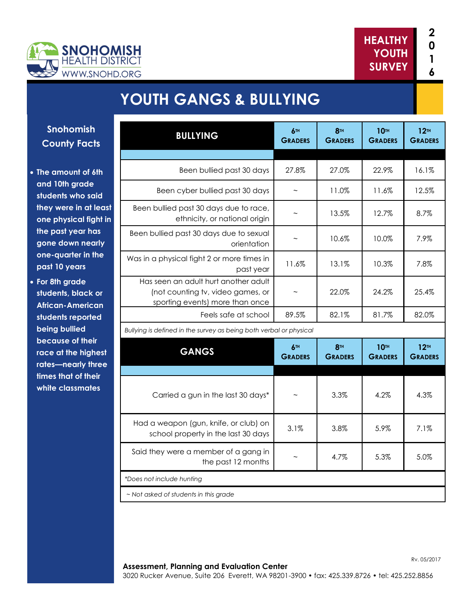



# **YOUTH GANGS & BULLYING**

**Snohomish County Facts**

- **The amount of 6th and 10th grade students who said they were in at least one physical fight in the past year has gone down nearly one-quarter in the past 10 years**
- **For 8th grade students, black or African-American students reported being bullied because of their race at the highest rates—nearly three times that of their white classmates**

| <b>BULLYING</b>                                                                                              | 6TH<br><b>GRADERS</b> | 8TH<br><b>GRADERS</b>             | <b>10TH</b><br><b>GRADERS</b> | 12 <sup>th</sup><br><b>GRADERS</b> |
|--------------------------------------------------------------------------------------------------------------|-----------------------|-----------------------------------|-------------------------------|------------------------------------|
|                                                                                                              |                       |                                   |                               |                                    |
| Been bullied past 30 days                                                                                    | 27.8%                 | 27.0%                             | 22.9%                         | 16.1%                              |
| Been cyber bullied past 30 days                                                                              |                       | 11.0%                             | 11.6%                         | 12.5%                              |
| Been bullied past 30 days due to race,<br>ethnicity, or national origin                                      |                       | 13.5%                             | 12.7%                         | 8.7%                               |
| Been bullied past 30 days due to sexual<br>orientation                                                       |                       | 10.6%                             | 10.0%                         | 7.9%                               |
| Was in a physical fight 2 or more times in<br>past year                                                      | 11.6%                 | 13.1%                             | 10.3%                         | 7.8%                               |
| Has seen an adult hurt another adult<br>(not counting tv, video games, or<br>sporting events) more than once |                       | 22.0%                             | 24.2%                         | 25.4%                              |
| Feels safe at school                                                                                         | 89.5%                 | 82.1%                             | 81.7%                         | 82.0%                              |
| Bullying is defined in the survey as being both verbal or physical                                           |                       |                                   |                               |                                    |
| <b>GANGS</b>                                                                                                 | 6TH<br><b>GRADERS</b> | 8 <sup>TH</sup><br><b>GRADERS</b> | <b>10TH</b><br><b>GRADERS</b> | 12 <sup>TH</sup><br><b>GRADERS</b> |
|                                                                                                              |                       |                                   |                               |                                    |
| Carried a gun in the last 30 days*                                                                           |                       | 3.3%                              | 4.2%                          | 4.3%                               |
| Had a weapon (gun, knife, or club) on<br>school property in the last 30 days                                 | 3.1%                  | 3.8%                              | 5.9%                          | 7.1%                               |
| Said they were a member of a gang in<br>the past 12 months                                                   |                       | 4.7%                              | 5.3%                          | 5.0%                               |
| *Does not include hunting                                                                                    |                       |                                   |                               |                                    |
| ~ Not asked of students in this grade                                                                        |                       |                                   |                               |                                    |